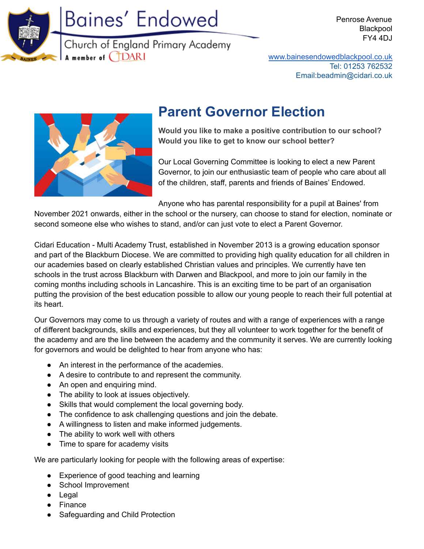

# Baines' Endowed

Church of England Primary Academy A member of **CDARI** 

Penrose Avenue Blackpool FY4 4DJ

[www.bainesendowedblackpool.co.uk](http://www.bainesendowedblackpool.co.uk) Tel: 01253 762532 Email:beadmin@cidari.co.uk



# **Parent Governor Election**

**Would you like to make a positive contribution to our school? Would you like to get to know our school better?**

Our Local Governing Committee is looking to elect a new Parent Governor, to join our enthusiastic team of people who care about all of the children, staff, parents and friends of Baines' Endowed.

Anyone who has parental responsibility for a pupil at Baines' from

November 2021 onwards, either in the school or the nursery, can choose to stand for election, nominate or second someone else who wishes to stand, and/or can just vote to elect a Parent Governor.

Cidari Education - Multi Academy Trust, established in November 2013 is a growing education sponsor and part of the Blackburn Diocese. We are committed to providing high quality education for all children in our academies based on clearly established Christian values and principles. We currently have ten schools in the trust across Blackburn with Darwen and Blackpool, and more to join our family in the coming months including schools in Lancashire. This is an exciting time to be part of an organisation putting the provision of the best education possible to allow our young people to reach their full potential at its heart.

Our Governors may come to us through a variety of routes and with a range of experiences with a range of different backgrounds, skills and experiences, but they all volunteer to work together for the benefit of the academy and are the line between the academy and the community it serves. We are currently looking for governors and would be delighted to hear from anyone who has:

- An interest in the performance of the academies.
- A desire to contribute to and represent the community.
- An open and enquiring mind.
- The ability to look at issues objectively.
- Skills that would complement the local governing body.
- The confidence to ask challenging questions and join the debate.
- A willingness to listen and make informed judgements.
- The ability to work well with others
- Time to spare for academy visits

We are particularly looking for people with the following areas of expertise:

- Experience of good teaching and learning
- School Improvement
- Legal
- **Finance**
- Safeguarding and Child Protection